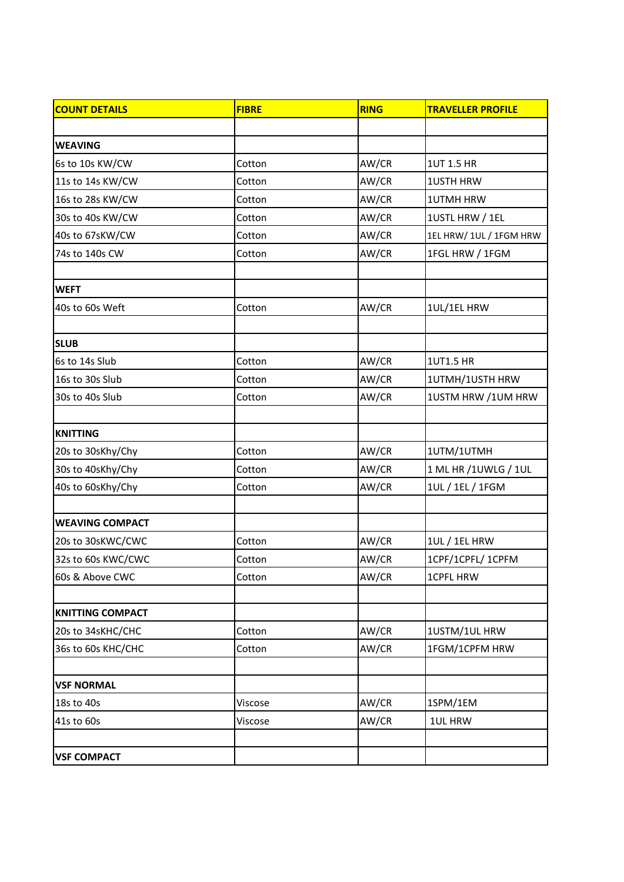| <b>COUNT DETAILS</b>    | <b>FIBRE</b> | <b>RING</b> | <b>TRAVELLER PROFILE</b> |
|-------------------------|--------------|-------------|--------------------------|
|                         |              |             |                          |
| <b>WEAVING</b>          |              |             |                          |
| 6s to 10s KW/CW         | Cotton       | AW/CR       | 1UT 1.5 HR               |
| 11s to 14s KW/CW        | Cotton       | AW/CR       | <b>1USTH HRW</b>         |
| 16s to 28s KW/CW        | Cotton       | AW/CR       | <b>1UTMH HRW</b>         |
| 30s to 40s KW/CW        | Cotton       | AW/CR       | 1USTL HRW / 1EL          |
| 40s to 67sKW/CW         | Cotton       | AW/CR       | 1EL HRW/ 1UL / 1FGM HRW  |
| 74s to 140s CW          | Cotton       | AW/CR       | 1FGL HRW / 1FGM          |
|                         |              |             |                          |
| <b>WEFT</b>             |              |             |                          |
| 40s to 60s Weft         | Cotton       | AW/CR       | 1UL/1EL HRW              |
|                         |              |             |                          |
| <b>SLUB</b>             |              |             |                          |
| 6s to 14s Slub          | Cotton       | AW/CR       | <b>1UT1.5 HR</b>         |
| 16s to 30s Slub         | Cotton       | AW/CR       | 1UTMH/1USTH HRW          |
| 30s to 40s Slub         | Cotton       | AW/CR       | 1USTM HRW / 1UM HRW      |
|                         |              |             |                          |
| <b>KNITTING</b>         |              |             |                          |
| 20s to 30sKhy/Chy       | Cotton       | AW/CR       | 1UTM/1UTMH               |
| 30s to 40sKhy/Chy       | Cotton       | AW/CR       | 1 ML HR / 1 UWLG / 1 UL  |
| 40s to 60sKhy/Chy       | Cotton       | AW/CR       | 1UL / 1EL / 1FGM         |
|                         |              |             |                          |
| <b>WEAVING COMPACT</b>  |              |             |                          |
| 20s to 30sKWC/CWC       | Cotton       | AW/CR       | 1UL / 1EL HRW            |
| 32s to 60s KWC/CWC      | Cotton       | AW/CR       | 1CPF/1CPFL/ 1CPFM        |
| 60s & Above CWC         | Cotton       | AW/CR       | <b>1CPFL HRW</b>         |
|                         |              |             |                          |
| <b>KNITTING COMPACT</b> |              |             |                          |
| 20s to 34sKHC/CHC       | Cotton       | AW/CR       | 1USTM/1UL HRW            |
| 36s to 60s KHC/CHC      | Cotton       | AW/CR       | 1FGM/1CPFM HRW           |
|                         |              |             |                          |
| <b>VSF NORMAL</b>       |              |             |                          |
| 18s to 40s              | Viscose      | AW/CR       | 1SPM/1EM                 |
| 41s to 60s              | Viscose      | AW/CR       | 1UL HRW                  |
|                         |              |             |                          |
| <b>VSF COMPACT</b>      |              |             |                          |